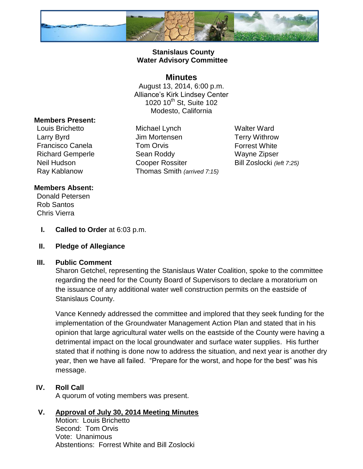

# **Stanislaus County Water Advisory Committee**

## **Minutes**

August 13, 2014, 6:00 p.m. Alliance's Kirk Lindsey Center 1020 10<sup>th</sup> St, Suite 102 Modesto, California

#### **Members Present:**

Louis Brichetto Michael Lynch Walter Ward Larry Byrd **Carry Byrd** Jim Mortensen **Terry Withrow** Francisco Canela **Tom Orvis Tom Orvis** Forrest White Richard Gemperle Sean Roddy Wayne Zipser Neil Hudson **Cooper Rossiter** Bill Zoslocki *(left 7:25)* Ray Kablanow Thomas Smith *(arrived 7:15)*

### **Members Absent:**

Donald Petersen Rob Santos Chris Vierra

**I. Called to Order** at 6:03 p.m.

### **II. Pledge of Allegiance**

### **III. Public Comment**

Sharon Getchel, representing the Stanislaus Water Coalition, spoke to the committee regarding the need for the County Board of Supervisors to declare a moratorium on the issuance of any additional water well construction permits on the eastside of Stanislaus County.

Vance Kennedy addressed the committee and implored that they seek funding for the implementation of the Groundwater Management Action Plan and stated that in his opinion that large agricultural water wells on the eastside of the County were having a detrimental impact on the local groundwater and surface water supplies. His further stated that if nothing is done now to address the situation, and next year is another dry year, then we have all failed. "Prepare for the worst, and hope for the best" was his message.

### **IV. Roll Call**

A quorum of voting members was present.

## **V. Approval of July 30, 2014 Meeting Minutes**

Motion: Louis Brichetto Second: Tom Orvis Vote: Unanimous Abstentions: Forrest White and Bill Zoslocki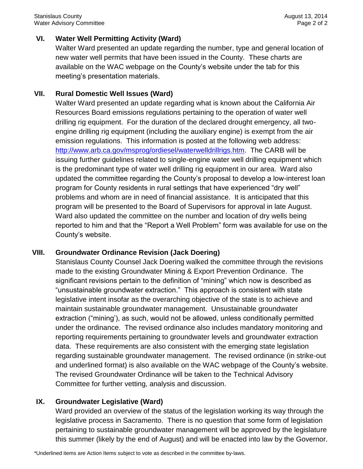## **VI. Water Well Permitting Activity (Ward)**

Walter Ward presented an update regarding the number, type and general location of new water well permits that have been issued in the County. These charts are available on the WAC webpage on the County's website under the tab for this meeting's presentation materials.

### **VII. Rural Domestic Well Issues (Ward)**

Walter Ward presented an update regarding what is known about the California Air Resources Board emissions regulations pertaining to the operation of water well drilling rig equipment. For the duration of the declared drought emergency, all twoengine drilling rig equipment (including the auxiliary engine) is exempt from the air emission regulations. This information is posted at the following web address: [http://www.arb.ca.gov/msprog/ordiesel/waterwelldrillrigs.htm.](http://www.arb.ca.gov/msprog/ordiesel/waterwelldrillrigs.htm) The CARB will be issuing further guidelines related to single-engine water well drilling equipment which is the predominant type of water well drilling rig equipment in our area. Ward also updated the committee regarding the County's proposal to develop a low-interest loan program for County residents in rural settings that have experienced "dry well" problems and whom are in need of financial assistance. It is anticipated that this program will be presented to the Board of Supervisors for approval in late August. Ward also updated the committee on the number and location of dry wells being reported to him and that the "Report a Well Problem" form was available for use on the County's website.

### **VIII. Groundwater Ordinance Revision (Jack Doering)**

Stanislaus County Counsel Jack Doering walked the committee through the revisions made to the existing Groundwater Mining & Export Prevention Ordinance. The significant revisions pertain to the definition of "mining" which now is described as "unsustainable groundwater extraction." This approach is consistent with state legislative intent insofar as the overarching objective of the state is to achieve and maintain sustainable groundwater management. Unsustainable groundwater extraction ("mining'), as such, would not be allowed, unless conditionally permitted under the ordinance. The revised ordinance also includes mandatory monitoring and reporting requirements pertaining to groundwater levels and groundwater extraction data. These requirements are also consistent with the emerging state legislation regarding sustainable groundwater management. The revised ordinance (in strike-out and underlined format) is also available on the WAC webpage of the County's website. The revised Groundwater Ordinance will be taken to the Technical Advisory Committee for further vetting, analysis and discussion.

### **IX. Groundwater Legislative (Ward)**

Ward provided an overview of the status of the legislation working its way through the legislative process in Sacramento. There is no question that some form of legislation pertaining to sustainable groundwater management will be approved by the legislature this summer (likely by the end of August) and will be enacted into law by the Governor.